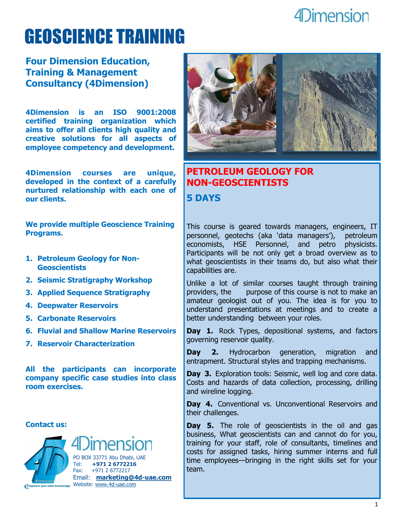# GEOSCIENCE TRAINING

#### **Four Dimension Education, Training & Management Consultancy (4Dimension)**

**4Dimension is an ISO 9001:2008 certified training organization which aims to offer all clients high quality and creative solutions for all aspects of employee competency and development.** 

**4Dimension courses are unique, developed in the context of a carefully nurtured relationship with each one of our clients.**

**We provide multiple Geoscience Training Programs.**

- **1. Petroleum Geology for Non-Geoscientists**
- **2. Seismic Stratigraphy Workshop**
- **3. Applied Sequence Stratigraphy**
- **4. Deepwater Reservoirs**
- **5. Carbonate Reservoirs**
- **6. Fluvial and Shallow Marine Reservoirs**
- **7. Reservoir Characterization**

**All the participants can incorporate company specific case studies into class room exercises.**

**Contact us:**



PO BOX 33771 Abu Dhabi, UAE Tel: **+971 2 6772216** Fax: +971 2 6772217 Email: **[marketing@4d-uae.com](mailto:marketing@4d-uae.com)** Website: [www.4d-uae.com](http://www.4d-uae.com)



#### **PETROLEUM GEOLOGY FOR NON-GEOSCIENTISTS 5 DAYS**

This course is geared towards managers, engineers, IT personnel, geotechs (aka 'data managers'), petroleum economists, HSE Personnel, and petro physicists. Participants will be not only get a broad overview as to what geoscientists in their teams do, but also what their capabilities are.

Unlike a lot of similar courses taught through training providers, the purpose of this course is not to make an amateur geologist out of you. The idea is for you to understand presentations at meetings and to create a better understanding between your roles.

Day 1. Rock Types, depositional systems, and factors governing reservoir quality.

**Day 2.** Hydrocarbon generation, migration and entrapment. Structural styles and trapping mechanisms.

**Day 3.** Exploration tools: Seismic, well log and core data. Costs and hazards of data collection, processing, drilling and wireline logging.

Day 4. Conventional vs. Unconventional Reservoirs and their challenges.

**Day 5.** The role of geoscientists in the oil and gas business, What geoscientists can and cannot do for you, training for your staff, role of consultants, timelines and costs for assigned tasks, hiring summer interns and full time employees—bringing in the right skills set for your team.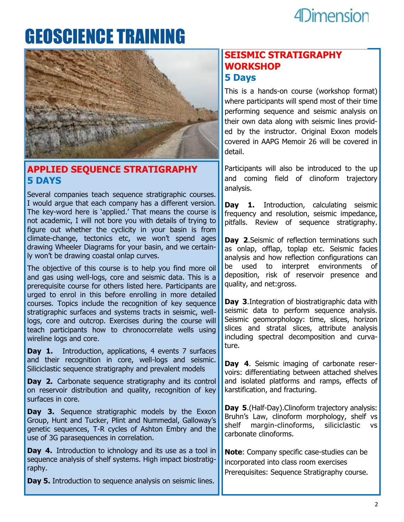# GEOSCIENCE TRAINING



#### **APPLIED SEQUENCE STRATIGRAPHY 5 DAYS**

Several companies teach sequence stratigraphic courses. I would argue that each company has a different version. The key-word here is 'applied.' That means the course is not academic, I will not bore you with details of trying to figure out whether the cyclicity in your basin is from climate-change, tectonics etc, we won't spend ages drawing Wheeler Diagrams for your basin, and we certainly won't be drawing coastal onlap curves.

The objective of this course is to help you find more oil and gas using well-logs, core and seismic data. This is a prerequisite course for others listed here. Participants are urged to enrol in this before enrolling in more detailed courses. Topics include the recognition of key sequence stratigraphic surfaces and systems tracts in seismic, welllogs, core and outcrop. Exercises during the course will teach participants how to chronocorrelate wells using wireline logs and core.

**Day 1.** Introduction, applications, 4 events 7 surfaces and their recognition in core, well-logs and seismic. Siliciclastic sequence stratigraphy and prevalent models

**Day 2.** Carbonate sequence stratigraphy and its control on reservoir distribution and quality, recognition of key surfaces in core.

**Day 3.** Sequence stratigraphic models by the Exxon Group, Hunt and Tucker, Plint and Nummedal, Galloway's genetic sequences, T-R cycles of Ashton Embry and the use of 3G parasequences in correlation.

**Day 4.** Introduction to ichnology and its use as a tool in sequence analysis of shelf systems. High impact biostratigraphy.

**Day 5.** Introduction to sequence analysis on seismic lines.

#### **SEISMIC STRATIGRAPHY WORKSHOP 5 Days**

This is a hands-on course (workshop format) where participants will spend most of their time performing sequence and seismic analysis on their own data along with seismic lines provided by the instructor. Original Exxon models covered in AAPG Memoir 26 will be covered in detail.

Participants will also be introduced to the up and coming field of clinoform trajectory analysis.

[Day 1](http://www.stratigraphyhelp.com/seismic-stratigraphy/#). [Introduction,](http://www.stratigraphyhelp.com/seismic-stratigraphy/#) calculating seismic frequency and resolution, seismic impedance, pitfalls. Review of sequence stratigraphy.

**Day 2.** Seismic of reflection terminations such as onlap, offlap, toplap etc. Seismic facies analysis and how reflection configurations can be used to interpret environments of deposition, risk of reservoir presence and quality, and net:gross.

**Day 3**.Integration of biostratigraphic data with seismic data to perform sequence analysis. Seismic geomorphology: time, slices, horizon slices and stratal slices, attribute analysis including spectral decomposition and curvature.

**Day 4**. Seismic imaging of carbonate reservoirs: differentiating between attached shelves and isolated platforms and ramps, effects of karstification, and fracturing.

**Day 5**.(Half-Day).Clinoform trajectory analysis: Bruhn's Law, clinoform morphology, shelf vs shelf margin-clinoforms, siliciclastic vs [carbonate c](http://www.stratigraphyhelp.com/seismic-stratigraphy/#)linoforms.

**Note**: Company specific case-studies can be incorporated into class room exercises Prerequisites: Sequence Stratigraphy course.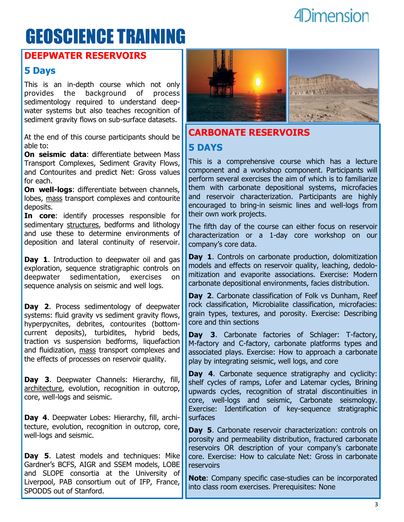## GEOSCIENCE TRAINING

#### **DEEPWATER RESERVOIRS**

#### **5 Days**

This is an in-depth course which not only [provides](http://www.stratigraphyhelp.com/deepwater-reservoirs/#) the background of process sedimentology required to understand deepwater systems but also teaches recognition of sediment gravity flows on sub-surface datasets.

At the end of this course participants should be able to:

**On seismic data**: differentiate between [Mass](http://www.stratigraphyhelp.com/deepwater-reservoirs/#)  Transport Complexes, Sediment Gravity Flows, and Contourites and predict Net: Gross values for each.

**On well-logs**: differentiate between channels, lobes, [mass](http://www.stratigraphyhelp.com/deepwater-reservoirs/#) transport complexes and contourite deposits.

**In core**: identify processes responsible for sedimentary [structures,](http://www.stratigraphyhelp.com/deepwater-reservoirs/#) bedforms and lithology and use these to determine environments of deposition and lateral continuity of reservoir.

**Day 1**. Introduction to deepwater oil and gas exploration, sequence stratigraphic controls on deepwater sedimentation, exercises on sequence analysis on seismic and well logs.

**Day 2**. Process sedimentology of deepwater systems: fluid gravity vs sediment gravity flows, hyperpycnites, debrites, contourites (bottomcurrent deposits), turbidites, hybrid beds, traction vs suspension bedforms, liquefaction and fluidization, [mass](http://www.stratigraphyhelp.com/deepwater-reservoirs/#) transport complexes and the effects of processes on reservoir quality.

**Day 3**. Deepwater Channels: Hierarchy, fill, [architecture,](http://www.stratigraphyhelp.com/deepwater-reservoirs/#) evolution, recognition in outcrop, core, well-logs and seismic.

**Day 4**. Deepwater Lobes: Hierarchy, fill, architecture, evolution, recognition in outcrop, core, well-logs and seismic.

**Day 5**. Latest models and techniques: Mike Gardner's BCFS, AIGR and SSEM models, LOBE and SLOPE consortia at the [University](http://www.stratigraphyhelp.com/deepwater-reservoirs/#) of Liverpool, PAB consortium out of IFP, France, SPODDS out of Stanford.



### **CARBONATE RESERVOIRS 5 DAYS**

This is a comprehensive course which has a lecture component and a workshop component. Participants will perform several exercises the aim of which is to familiarize them with carbonate depositional systems, microfacies and reservoir characterization. Participants are highly encouraged to bring-in seismic lines and well-logs from their own work projects.

The fifth day of the course can either focus on reservoir characterization or a 1-day core workshop on our company's core data.

**Day 1**. Controls on carbonate production, dolomitization models and effects on reservoir quality, leaching, dedolomitization and evaporite associations. Exercise: Modern carbonate depositional environments, facies distribution.

**Day 2**. Carbonate classification of Folk vs Dunham, Reef rock classification, Microbialite classification, microfacies: grain types, textures, and porosity. Exercise: Describing core and thin sections

**Day 3**. Carbonate factories of Schlager: T-factory, M-factory and C-factory, carbonate platforms types and associated plays. Exercise: How to approach a carbonate play by integrating seismic, well logs, and core

**Day 4**. Carbonate sequence stratigraphy and cyclicity: shelf cycles of ramps, Lofer and Latemar cycles, Brining upwards cycles, recognition of stratal discontinuities in core, well-logs and seismic, Carbonate seismology. Exercise: Identification of key-sequence stratigraphic surfaces

**Day 5**. Carbonate reservoir characterization: controls on porosity and permeability distribution, fractured carbonate reservoirs OR description of your company's carbonate core. Exercise: How to calculate Net: Gross in carbonate reservoirs

**Note**: Company specific case-studies can be incorporated into class room exercises. Prerequisites: None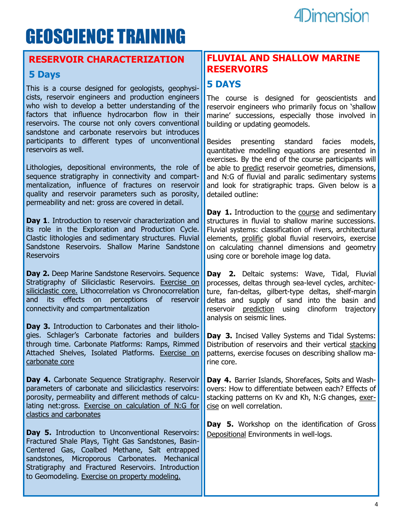# GEOSCIENCE TRAINING

#### **RESERVOIR CHARACTERIZATION**

#### **5 Days**

This is a course designed for geologists, geophysicists, reservoir engineers and production engineers who wish to develop a better understanding of the factors that influence hydrocarbon flow in their reservoirs. The course not only covers conventional sandstone and carbonate reservoirs but introduces participants to different types of unconventional reservoirs as well.

Lithologies, depositional environments, the role of sequence stratigraphy in connectivity and compartmentalization, influence of fractures on reservoir quality and reservoir parameters such as porosity, permeability and net: gross are covered in detail.

**Day 1**. Introduction to reservoir characterization and its role in the Exploration and Production Cycle. Clastic lithologies and sedimentary structures. Fluvial Sandstone Reservoirs. Shallow Marine Sandstone Reservoirs

**Day 2.** Deep Marine Sandstone Reservoirs. Sequence Stratigraphy of Siliciclastic Reservoirs. Exercise on siliciclastic core. Lithocorrelation vs Chronocorrelation and its effects on perceptions of reservoir connectivity and compartmentalization

**Day 3.** Introduction to Carbonates and their lithologies. Schlager's Carbonate factories and builders through time. Carbonate Platforms: Ramps, Rimmed Attached Shelves, Isolated Platforms. Exercise on carbonate core

Day 4. Carbonate Sequence Stratigraphy. Reservoir parameters of carbonate and siliciclastics reservoirs: porosity, permeability and different methods of calculating net:gross. Exercise on calculation of N:G for clastics and carbonates

Day 5. Introduction to Unconventional Reservoirs: Fractured Shale Plays, Tight Gas Sandstones, Basin-Centered Gas, Coalbed Methane, Salt entrapped sandstones, Microporous Carbonates. Mechanical Stratigraphy and Fractured Reservoirs. Introduction to Geomodeling. Exercise on property modeling.

#### **FLUVIAL AND SHALLOW MARINE RESERVOIRS**

#### **5 DAYS**

The course is designed for geoscientists and reservoir engineers who primarily focus on 'shallow marine' successions, especially those involved in building or updating geomodels.

Besides presenting standard facies models, quantitative modelling equations are presented in exercises. By the end of the course participants will be able to [predict](http://www.stratigraphyhelp.com/siliciclastic-reservoirs-in-fluvial-to-shelf-transitions/#) reservoir geometries, dimensions, and N:G of fluvial and paralic sedimentary systems and look for stratigraphic traps. Given below is a detailed outline:

Day 1. Introduction to the [course](http://www.stratigraphyhelp.com/siliciclastic-reservoirs-in-fluvial-to-shelf-transitions/#) and sedimentary structures in fluvial to shallow marine successions. Fluvial systems: classification of rivers, architectural elements, [prolific](http://www.stratigraphyhelp.com/siliciclastic-reservoirs-in-fluvial-to-shelf-transitions/#) global fluvial reservoirs, exercise on calculating channel dimensions and geometry using core or borehole image log data.

**[Day](http://www.stratigraphyhelp.com/siliciclastic-reservoirs-in-fluvial-to-shelf-transitions/#) 2.** Deltaic systems: Wave, Tidal, Fluvial processes, deltas through sea-level cycles, architecture, fan-deltas, gilbert-type deltas, shelf-margin deltas and supply of sand into the basin and reservoir [prediction](http://www.stratigraphyhelp.com/siliciclastic-reservoirs-in-fluvial-to-shelf-transitions/#) using clinoform trajectory analysis on seismic lines.

**Day 3.** Incised Valley Systems and Tidal Systems: Distribution of reservoirs and their vertical [stacking](http://www.stratigraphyhelp.com/siliciclastic-reservoirs-in-fluvial-to-shelf-transitions/#) patterns, exercise focuses on describing shallow marine core.

**Day 4.** Barrier Islands, Shorefaces, Spits and Washovers: How to differentiate between each? Effects of stacking patterns on Kv and Kh, N:G changes, [exer](http://www.stratigraphyhelp.com/siliciclastic-reservoirs-in-fluvial-to-shelf-transitions/#)[cise](http://www.stratigraphyhelp.com/siliciclastic-reservoirs-in-fluvial-to-shelf-transitions/#) on well correlation.

**Day 5.** Workshop on the identification of Gross [Depositional](http://www.stratigraphyhelp.com/siliciclastic-reservoirs-in-fluvial-to-shelf-transitions/#) Environments in well-logs.